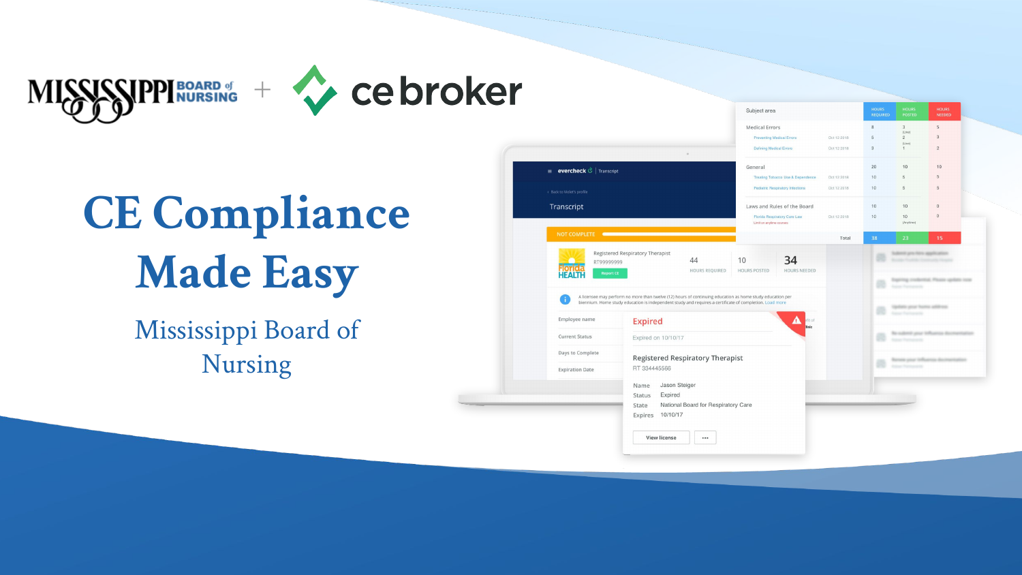



## **CE Compliance Made Easy**

Mississippi Board of Nursing

|                                                                       |                                                                                                                                                                                                                      | Subject area                                             |             | <b>HOURS</b><br><b>REQUIRED</b> | <b>HOURS</b><br><b>POSTED</b>                              | <b>HOURS</b><br>NEEDED           |
|-----------------------------------------------------------------------|----------------------------------------------------------------------------------------------------------------------------------------------------------------------------------------------------------------------|----------------------------------------------------------|-------------|---------------------------------|------------------------------------------------------------|----------------------------------|
|                                                                       |                                                                                                                                                                                                                      | Medical Errors                                           |             | $\,$ 8 $\,$                     | $\overline{3}$<br>$(2\pi n)$                               | $\sf S$                          |
|                                                                       |                                                                                                                                                                                                                      | Preventing Medical Errors                                | Oct 12 2018 | 5                               | $\overline{c}$<br>(Live)                                   | $\overline{3}$                   |
|                                                                       |                                                                                                                                                                                                                      | Defining Medical Errors                                  | Oct 12 2018 | $\ensuremath{\mathsf{3}}$       | 1                                                          | $\overline{c}$                   |
| $\equiv$ evercheck $\stackrel{\rightarrow}{\mathcal{C}}$   Transcript |                                                                                                                                                                                                                      | General                                                  |             | 20                              | 10                                                         | 10                               |
|                                                                       |                                                                                                                                                                                                                      | Treating Tobacco Use & Dependence                        | Oct 12 2018 | 10                              | 6.                                                         | $\sqrt{5}$                       |
| < Back to Violet's profile                                            |                                                                                                                                                                                                                      | Pediatric Respiratory Infections                         | Oct 12 2018 | 10                              | 5                                                          | $\overline{5}$                   |
| Transcript                                                            |                                                                                                                                                                                                                      | Laws and Rules of the Board                              |             | 10 <sup>10</sup>                | 10                                                         | $\circ$                          |
|                                                                       |                                                                                                                                                                                                                      | Florida Respiratory Care Law<br>Limit on anytime courses | Oct 12 2018 | 10                              | 10 <sub>1</sub><br>(Anytime)                               | $\mathbf{0}$                     |
| <b>NOT COMPLETE</b>                                                   |                                                                                                                                                                                                                      |                                                          | Total       | 38                              | 23                                                         | 15                               |
| RT99999999                                                            | Registered Respiratory Therapist<br>44<br>HOURS REQUIRED                                                                                                                                                             | 34<br>10<br>HOURS NEEDED<br><b>HOURS POSTED</b>          |             |                                 | or you have application                                    |                                  |
| <b>Report CE</b>                                                      |                                                                                                                                                                                                                      |                                                          |             |                                 |                                                            |                                  |
|                                                                       |                                                                                                                                                                                                                      |                                                          |             |                                 | . .                                                        | og credential. Please update now |
|                                                                       | A licensee may perform no more than twelve (12) hours of continuing education as home study education per<br>biennium. Home study education is independent study and requires a certificate of completion. Load more |                                                          |             |                                 | getters great bustin address<br><b>Summer Theorems and</b> |                                  |
| Employee name                                                         | <b>Expired</b>                                                                                                                                                                                                       | A<br>ifit of<br><b>Sink</b>                              |             |                                 |                                                            |                                  |
| <b>Current Status</b>                                                 | Expired on 10/10/17                                                                                                                                                                                                  |                                                          |             |                                 | to customer sense.<br><b>Side of</b>                       |                                  |
| Days to Complete                                                      | <b>Registered Respiratory Therapist</b>                                                                                                                                                                              |                                                          |             |                                 |                                                            |                                  |
| <b>Expiration Date</b>                                                | RT 334445566                                                                                                                                                                                                         |                                                          |             |                                 |                                                            |                                  |
|                                                                       | Jason Steiger<br>Name                                                                                                                                                                                                |                                                          |             |                                 |                                                            |                                  |
|                                                                       | Expired<br><b>Status</b>                                                                                                                                                                                             |                                                          |             |                                 |                                                            |                                  |
|                                                                       | National Board for Respiratory Care<br>State<br>10/10/17<br>Expires                                                                                                                                                  |                                                          |             |                                 |                                                            |                                  |
|                                                                       | <b>View license</b><br>                                                                                                                                                                                              |                                                          |             |                                 |                                                            |                                  |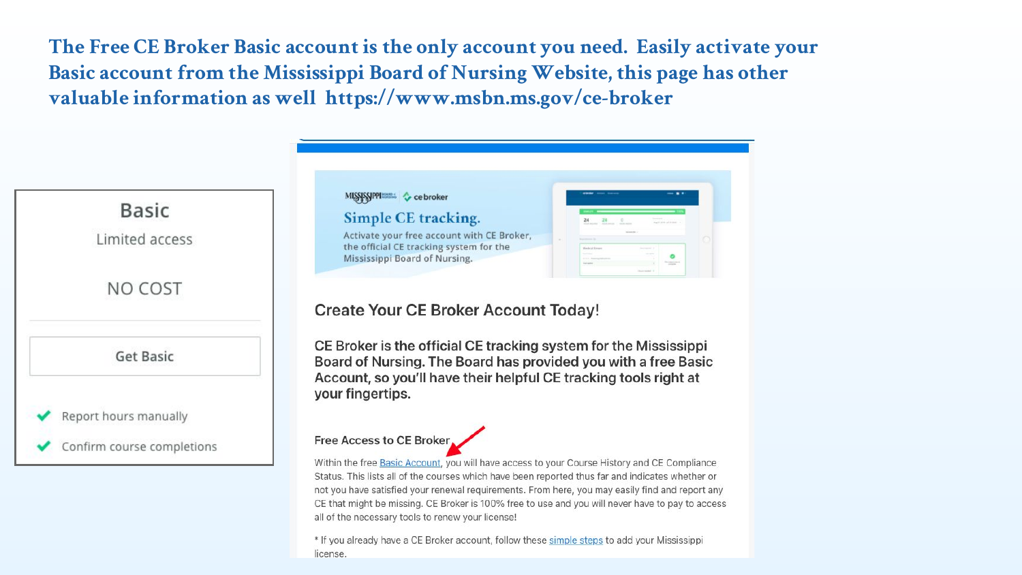**The Free CE Broker Basic account is the only account you need. Easily activate your Basic account from the Mississippi Board of Nursing Website, this page has other valuable information as well https://www.msbn.ms.gov/ce-broker**



not you have satisfied your renewal requirements. From here, you may easily find and report any CE that might be missing. CE Broker is 100% free to use and you will never have to pay to access all of the necessary tools to renew your license!

\* If you already have a CE Broker account, follow these simple steps to add your Mississippi license.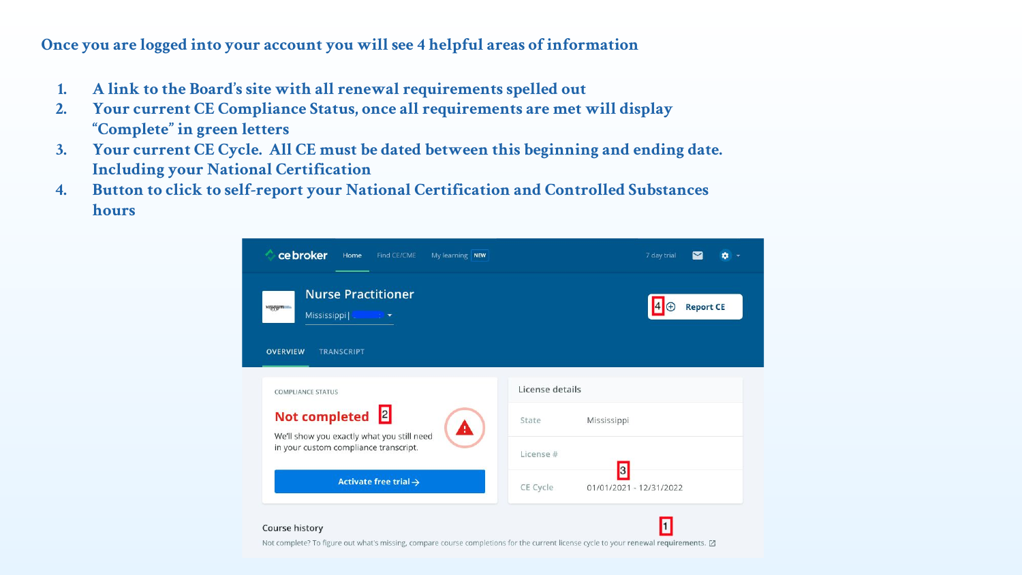## **Once you are logged into your account you will see 4 helpful areas of information**

- **1. A link to the Board's site with all renewal requirements spelled out**
- **2. Your current CE Compliance Status, once all requirements are met will display "Complete" in green letters**
- **3. Your current CE Cycle. All CE must be dated between this beginning and ending date. Including your National Certification**
- **4. Button to click to self-report your National Certification and Controlled Substances hours**

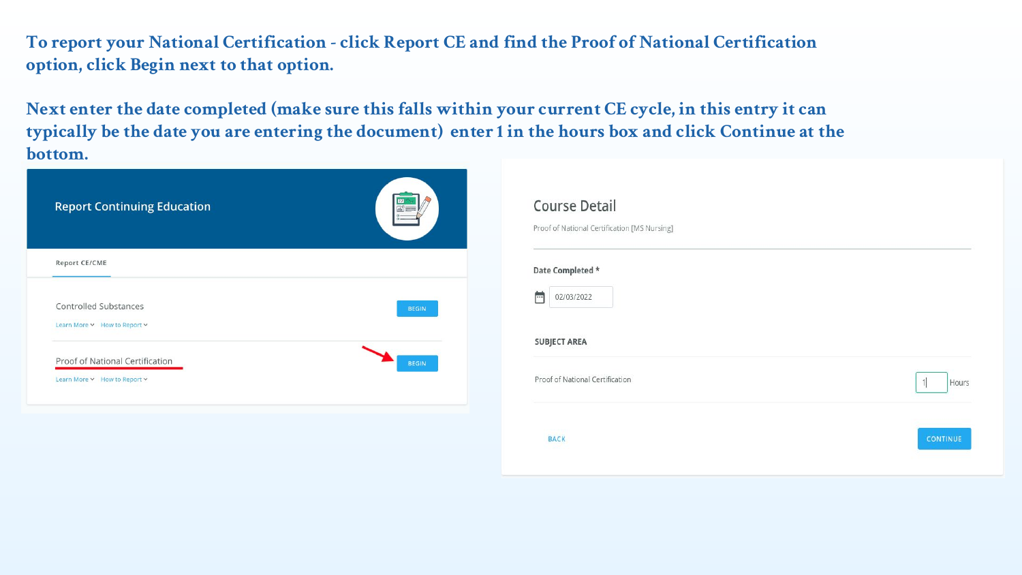**To report your National Certification - click Report CE and find the Proof of National Certification option, click Begin next to that option.** 

**Next enter the date completed (make sure this falls within your current CE cycle, in this entry it can typically be the date you are entering the document) enter 1 in the hours box and click Continue at the bottom.**

| <b>Report Continuing Education</b>                              |              |
|-----------------------------------------------------------------|--------------|
| Report CE/CME                                                   |              |
| Controlled Substances<br>Learn More v How to Report v           | <b>BEGIN</b> |
| Proof of National Certification<br>Learn More v How to Report v | <b>BEGIN</b> |

| Date Completed *                |            |
|---------------------------------|------------|
| 02/03/2022<br>F                 |            |
| <b>SUBJECT AREA</b>             |            |
| Proof of National Certification | 1<br>Hours |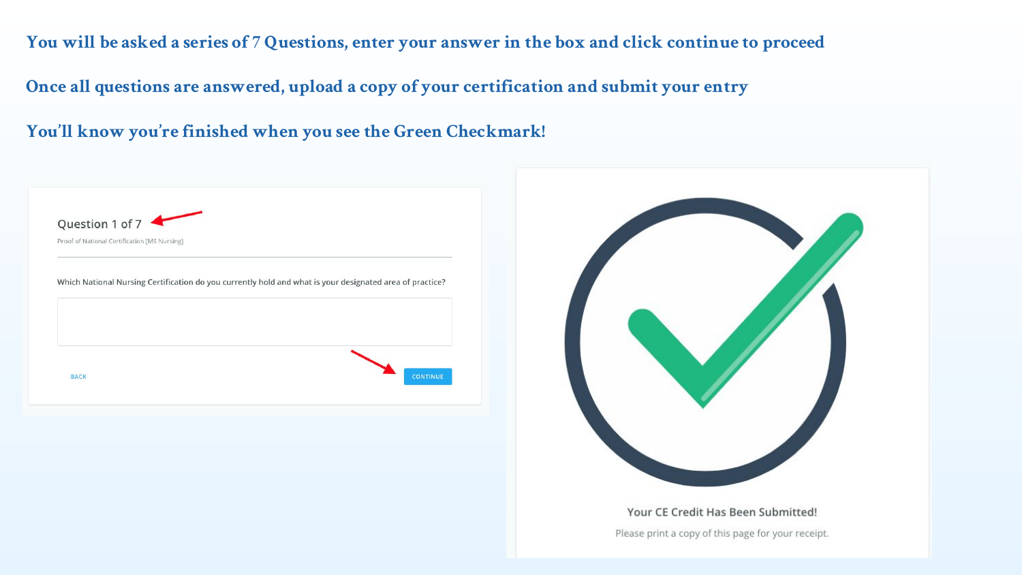**You will be asked a series of 7 Questions, enter your answer in the box and click continue to proceed**

**Once all questions are answered, upload a copy of your certification and submit your entry**

**You'll know you're finished when you see the Green Checkmark!**

| Question 1 of 7<br>Proof of National Certification [MS Nursing]                                          |                 |  |
|----------------------------------------------------------------------------------------------------------|-----------------|--|
| Which National Nursing Certification do you currently hold and what is your designated area of practice? |                 |  |
| <b>BACK</b>                                                                                              | <b>CONTINUE</b> |  |

Your CE Credit Has Been Submitted!

Please print a copy of this page for your receipt.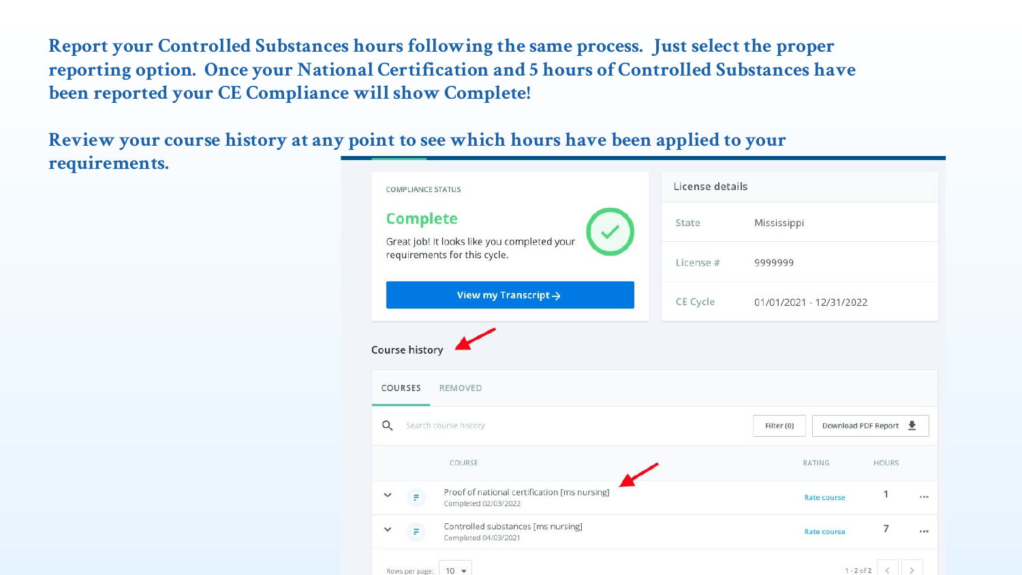**Report your Controlled Substances hours following the same process. Just select the proper reporting option. Once your National Certification and 5 hours of Controlled Substances have been reported your CE Compliance will show Complete!** 

**Review your course history at any point to see which hours have been applied to your requirements.**

| <b>COMPLIANCE STATUS</b>                                                    | License details |                                   |
|-----------------------------------------------------------------------------|-----------------|-----------------------------------|
| <b>Complete</b>                                                             | State           | Mississippi                       |
| Great job! It looks like you completed your<br>requirements for this cycle. | License #       | 9999999                           |
| View my Transcript $\rightarrow$                                            | CE Cycle        | 01/01/2021 - 12/31/2022           |
| Course history<br>COURSES<br>REMOVED                                        |                 |                                   |
| Q<br>Search course history                                                  |                 | Download PDF Report<br>Filter (0) |
| COURSE                                                                      |                 | <b>RATING</b><br><b>HOURS</b>     |
| Proof of national certification [ms nursing]<br>F<br>Completed 02/03/2022   |                 | 1<br>Rate course<br>              |
| Controlled substances [ms nursing]<br>F<br>Completed 04/03/2021             |                 | 7<br>Rate course<br>              |
| $10 -$<br>Rows per page:                                                    |                 | $1 - 2 of 2 <$                    |